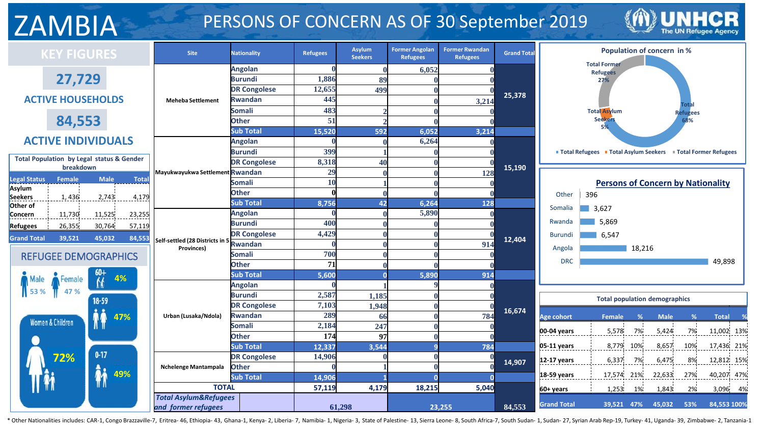## ZAMBIA PERSONS OF CONCERN AS OF 30 September 2019



| <b>KEY FIGURES</b>                                                |                             | <b>Site</b>                      | <b>Nationality</b>               | <b>Refugees</b> | Asylum<br><b>Seekers</b> | <b>Former Angolan</b><br><b>Refugees</b> | <b>Former Rwandan</b><br><b>Refugees</b> | <b>Grand Total</b> |                    | Population of concern in %                                      |             |                 |              |          |  |  |  |  |
|-------------------------------------------------------------------|-----------------------------|----------------------------------|----------------------------------|-----------------|--------------------------|------------------------------------------|------------------------------------------|--------------------|--------------------|-----------------------------------------------------------------|-------------|-----------------|--------------|----------|--|--|--|--|
|                                                                   |                             |                                  | <b>Angolan</b>                   |                 |                          | 6,052                                    |                                          |                    |                    | <b>Total Former</b>                                             |             |                 |              |          |  |  |  |  |
|                                                                   | 27,729                      |                                  | <b>Burundi</b>                   | 1,886           | 89                       |                                          |                                          |                    |                    | <b>Refugees</b><br>27%                                          |             |                 |              |          |  |  |  |  |
|                                                                   |                             |                                  | <b>DR Congolese</b>              | 12,655          | 499                      |                                          |                                          |                    |                    |                                                                 |             |                 |              |          |  |  |  |  |
| <b>ACTIVE HOUSEHOLDS</b>                                          |                             | <b>Meheba Settlement</b>         | <b>Rwandan</b>                   | 445             |                          |                                          | 3,214                                    | 25,378             |                    |                                                                 |             |                 |              |          |  |  |  |  |
|                                                                   |                             |                                  | <b>Somali</b>                    | 483             |                          |                                          |                                          |                    |                    | <b>Total Asylum</b>                                             |             | <b>Refugees</b> |              |          |  |  |  |  |
| 84,553                                                            |                             |                                  | <b>Other</b>                     | 51              |                          |                                          |                                          |                    |                    | <b>Seekers</b>                                                  |             | 68%             |              |          |  |  |  |  |
|                                                                   |                             |                                  | <b>Sub Total</b>                 | 15,520          | 592                      | 6,052                                    | 3,214                                    |                    |                    |                                                                 |             |                 |              |          |  |  |  |  |
| <b>ACTIVE INDIVIDUALS</b>                                         |                             |                                  | <b>Angolan</b>                   |                 |                          | 6,264                                    |                                          |                    |                    |                                                                 |             |                 |              |          |  |  |  |  |
|                                                                   |                             |                                  | Burundi                          | 399             |                          |                                          |                                          |                    |                    | ■ Total Refugees ■ Total Asylum Seekers ■ Total Former Refugees |             |                 |              |          |  |  |  |  |
| <b>Total Population by Legal status &amp; Gender</b><br>breakdown |                             |                                  | <b>DR Congolese</b>              | 8,318           | 40                       |                                          |                                          | 15,190             |                    |                                                                 |             |                 |              |          |  |  |  |  |
|                                                                   |                             | Mayukwayukwa Settlement Rwandan  |                                  | 29              |                          |                                          | 128                                      |                    |                    |                                                                 |             |                 |              |          |  |  |  |  |
| <b>Legal Status</b><br>Female<br>Asylum                           | <b>Male</b><br><b>Total</b> |                                  | <b>Somali</b>                    | 10              |                          |                                          |                                          |                    |                    | <b>Persons of Concern by Nationality</b>                        |             |                 |              |          |  |  |  |  |
| Seekers<br>1,436                                                  | 2,743<br>4,179              |                                  | <b>Other</b>                     |                 |                          |                                          |                                          |                    | Other              | 396                                                             |             |                 |              |          |  |  |  |  |
| Other of                                                          |                             |                                  | <b>Sub Total</b>                 | 8,756           | 42                       | 6,264                                    | 128                                      |                    | Somalia            | $\blacksquare$ 3,627                                            |             |                 |              |          |  |  |  |  |
| 11,730<br>Concern                                                 | 11,525<br>23,255            |                                  | <b>Angolan</b>                   |                 |                          | 5,890                                    |                                          |                    |                    |                                                                 |             |                 |              |          |  |  |  |  |
| 26,355<br><b>Refugees</b>                                         | 30,764<br>57,119            |                                  | <b>Burundi</b>                   | 400             |                          |                                          |                                          |                    | Rwanda             | 5,869                                                           |             |                 |              |          |  |  |  |  |
| <b>Grand Total</b><br>39,521                                      | 45,032<br>84,553            | Self-settled (28 Districts in 5  | <b>DR Congolese</b>              | 4,429           |                          |                                          |                                          | 12,404             | Burundi            | 6,547                                                           |             |                 |              |          |  |  |  |  |
|                                                                   |                             | Provinces)                       | <b>Rwandan</b>                   |                 |                          |                                          | 914                                      |                    | Angola             | 18,216                                                          |             |                 |              |          |  |  |  |  |
| <b>REFUGEE DEMOGRAPHICS</b>                                       |                             |                                  | <b>Somali</b>                    | 700             |                          |                                          |                                          |                    | <b>DRC</b>         |                                                                 |             |                 |              |          |  |  |  |  |
|                                                                   |                             |                                  | <b>Other</b>                     | 71              |                          |                                          |                                          |                    |                    |                                                                 |             |                 | 49,898       |          |  |  |  |  |
| Female                                                            | 4%                          |                                  | <b>Sub Total</b>                 | 5,600           |                          | 5,890                                    | 914                                      |                    |                    |                                                                 |             |                 |              |          |  |  |  |  |
| 47 %                                                              |                             |                                  | <b>Angolan</b>                   |                 |                          |                                          |                                          |                    |                    |                                                                 |             |                 |              |          |  |  |  |  |
|                                                                   | $18 - 59$                   |                                  | <b>Burundi</b>                   | 2,587           | 1,185                    |                                          |                                          |                    |                    | <b>Total population demographics</b>                            |             |                 |              |          |  |  |  |  |
|                                                                   |                             |                                  | <b>DR Congolese</b>              | 7,103           | 1,948                    |                                          |                                          | 16,674             |                    |                                                                 |             |                 |              |          |  |  |  |  |
| <b>Women &amp; Children</b>                                       | 47%                         | Urban (Lusaka/Ndola)             | <b>Rwandan</b>                   | 289             | 66                       |                                          | 784                                      |                    | <b>Age cohort</b>  | Female<br>%                                                     | <b>Male</b> | %               | <b>Total</b> |          |  |  |  |  |
|                                                                   |                             |                                  | <b>Somali</b>                    | 2,184           | 247                      |                                          |                                          |                    | $00-04$ years      | $7\%$<br>5,578                                                  | 5,424       | 7%              | 11,002 13%   |          |  |  |  |  |
|                                                                   |                             |                                  | <b>Other</b>                     | 174             | 97                       |                                          |                                          |                    |                    |                                                                 |             |                 |              |          |  |  |  |  |
|                                                                   | $0 - 17$                    |                                  | <b>Sub Total</b>                 | 12,337          | 3,544                    |                                          | 784                                      |                    | $05-11$ years      | 8,779<br>10%                                                    | 8,657       | 10%             | 17,436 21%   |          |  |  |  |  |
| 72%                                                               |                             |                                  | <b>DR Congolese</b>              | 14,906          |                          |                                          |                                          | 14,907             | $12-17$ years      | 6,337<br>7%                                                     | 6,475       | $8\%$           | 12,812 15%   |          |  |  |  |  |
|                                                                   | 49%                         | Nchelenge Mantampala             | <b>Other</b><br><b>Sub Total</b> |                 |                          |                                          |                                          |                    | $18-59$ years      | 17,574 21%                                                      | 22,633      | 27%             | 40,207 47%   |          |  |  |  |  |
|                                                                   |                             | <b>TOTAL</b>                     |                                  | 14,906          |                          |                                          |                                          |                    |                    |                                                                 |             |                 |              |          |  |  |  |  |
|                                                                   |                             | <b>Total Asylum&amp;Refugees</b> |                                  | 57,119          | 4,179                    | 18,215                                   | 5,040                                    |                    | $60+years$         | 1,253<br>1%                                                     | 1,843       | 2%              |              | 3,096 4% |  |  |  |  |
|                                                                   |                             | and former refugees              |                                  |                 | 61,298                   |                                          | 23,255                                   | 84,553             | <b>Grand Total</b> | 39,521 47%                                                      | 45,032      | 53%             | 84,553 100%  |          |  |  |  |  |
|                                                                   |                             |                                  |                                  |                 |                          |                                          |                                          |                    |                    |                                                                 |             |                 |              |          |  |  |  |  |

\* Other Nationalities includes: CAR-1, Congo Brazzaville-7, Eritrea- 46, Ethiopia- 43, Ghana-1, Kenya- 2, Liberia- 7, Namibia- 1, Nigeria- 3, State of Palestine- 13, Sierra Leone- 8, South Africa-7, South Sudan-1, Sudan- 2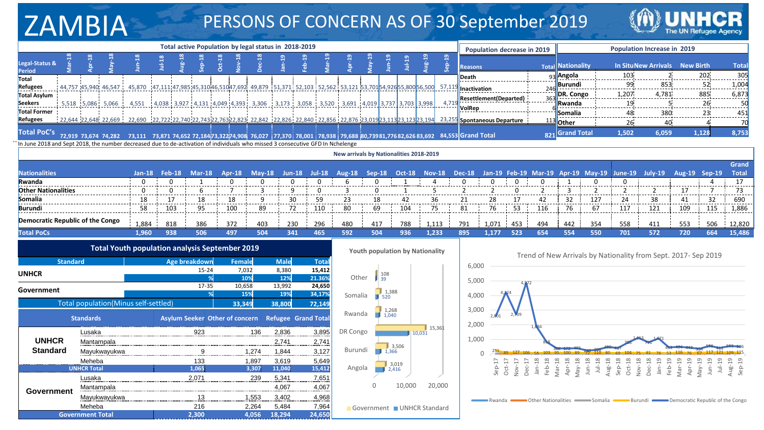## ZAMBIA PERSONS OF CONCERN AS OF 30 September 2019



|                                                                                                                                | Total active Population by legal status in 2018-2019 |  |                                                |        |         |        |               |           |              |                                                                                                           |            |                  |                    |        |       |                                        |           |                        |                |                                                                                                                                                                          |        |                 |                                                                |               |                         |                             |                  |                 |                    |  |
|--------------------------------------------------------------------------------------------------------------------------------|------------------------------------------------------|--|------------------------------------------------|--------|---------|--------|---------------|-----------|--------------|-----------------------------------------------------------------------------------------------------------|------------|------------------|--------------------|--------|-------|----------------------------------------|-----------|------------------------|----------------|--------------------------------------------------------------------------------------------------------------------------------------------------------------------------|--------|-----------------|----------------------------------------------------------------|---------------|-------------------------|-----------------------------|------------------|-----------------|--------------------|--|
|                                                                                                                                |                                                      |  |                                                |        |         |        |               |           |              |                                                                                                           |            |                  |                    |        |       |                                        |           |                        |                | <b>Population decrease in 2019</b>                                                                                                                                       |        |                 |                                                                |               |                         | Population Increase in 2019 |                  |                 |                    |  |
| Legal-Status &<br><b>Period</b>                                                                                                |                                                      |  |                                                |        | $1u-18$ |        | o.            |           |              |                                                                                                           |            |                  |                    |        |       | $1ul-19$                               | $u_{g-1}$ | $\overline{19}$<br>ခဲ့ | <b>Reasons</b> |                                                                                                                                                                          |        |                 | <b>Total Nationality</b>                                       |               |                         | <b>In SituNew Arrivals</b>  | <b>New Birth</b> |                 | <b>Total</b>       |  |
| Total                                                                                                                          |                                                      |  |                                                |        |         |        |               |           |              |                                                                                                           |            |                  |                    |        |       |                                        |           |                        | Death          |                                                                                                                                                                          |        |                 | 93 Angola                                                      |               | 103                     |                             |                  | 202             | 305                |  |
| <b>Refugees</b>                                                                                                                |                                                      |  | 44,757 45,940, 46,547                          | 45,870 |         |        |               |           |              | (47,111,47,985,45,310,46,510,47,692 49,879 51,371 52,103 52,562 53,121 53,70154,92655,800 56,500 57,1     |            |                  |                    |        |       |                                        |           |                        |                | <b>H</b> Inactivation                                                                                                                                                    |        |                 | <u> Burundi</u>                                                |               |                         | $99 \overline{1,004}$       |                  |                 |                    |  |
| Total Asylum                                                                                                                   |                                                      |  |                                                |        |         |        |               |           |              |                                                                                                           |            |                  |                    |        |       |                                        |           |                        |                | <b>Resettlement</b> (Departed)                                                                                                                                           |        |                 | DR. Congo                                                      |               | 1,207                   | 4,781                       |                  | 885             | 6,873              |  |
| <b>Seekers</b>                                                                                                                 |                                                      |  | 5,518 5,086 5,066                              | 4,551  |         |        |               |           |              | $(4,038; 3,927; 4,131; 4,049; 4,393; 3,306; 3,173; 3,058; 3,520; 3,691; 4,019; 3,737; 3,703; 3,998)$      |            |                  |                    |        |       |                                        |           | 4.7                    |                |                                                                                                                                                                          |        |                 | <b>Rwanda</b>                                                  |               | 19 <sub>i</sub>         |                             |                  | 26              | 50                 |  |
| <b>Total Former</b>                                                                                                            |                                                      |  |                                                |        |         |        |               |           |              |                                                                                                           |            |                  |                    |        |       |                                        |           |                        | VolRep         |                                                                                                                                                                          |        |                 | <b>Somalia</b>                                                 |               | 48<br>$- - - - - - - -$ | 380<br>----------- <b>-</b> |                  | 23<br>--------- | 451<br>$- - - - -$ |  |
| <b>Refugees</b>                                                                                                                |                                                      |  |                                                |        |         |        |               |           |              |                                                                                                           |            |                  |                    |        |       |                                        |           |                        |                | 22,644 22,648 22,669 22,669 22,690 22,722 22,740 22,743 22,763 22,823 22,842 22,826 22,826 22,836 22,876 23,019 23,113 23,113 23,123 23,194 23,255 Spontaneous Departure |        |                 | <b>Other</b>                                                   |               | 26                      | 40.                         |                  |                 |                    |  |
| <b>Total PoC's</b>                                                                                                             |                                                      |  | 72,919 73,674 74,282                           |        |         |        |               |           |              | 74,652 72,18473,32274,908 76,027 77,370 78,001 78,938 79,688 80,73981,77682,626 83,692 84,553 Grand Total |            |                  |                    |        |       |                                        |           |                        |                |                                                                                                                                                                          |        | 82 <sup>2</sup> | <b>Grand Total</b>                                             |               | 1,502                   | 6,059                       |                  | 1,128           | 8,753              |  |
| In June 2018 and Sept 2018, the number decreased due to de-activation of individuals who missed 3 consecutive GFD In Nchelenge |                                                      |  |                                                |        |         |        |               |           |              |                                                                                                           |            |                  |                    |        |       |                                        |           |                        |                |                                                                                                                                                                          |        |                 |                                                                |               |                         |                             |                  |                 |                    |  |
|                                                                                                                                | New arrivals by Nationalities 2018-2019              |  |                                                |        |         |        |               |           |              |                                                                                                           |            |                  |                    |        |       |                                        |           |                        |                |                                                                                                                                                                          |        |                 |                                                                |               |                         |                             |                  |                 |                    |  |
|                                                                                                                                |                                                      |  |                                                |        |         |        |               |           |              |                                                                                                           |            |                  |                    |        |       |                                        |           |                        |                |                                                                                                                                                                          |        |                 | Grand                                                          |               |                         |                             |                  |                 |                    |  |
| Nationalities <sup>1</sup>                                                                                                     |                                                      |  |                                                | Jan-18 |         | Feb-18 | $Mar-18$      | Apr- $18$ |              | <b>Mav-18</b>                                                                                             | $Jun-18$   | $Jul-18$         | <b>Aug-18</b>      | Sep-18 |       | $Oct-18$                               | $Nov-18$  |                        | <b>Dec-18</b>  | Jan-19                                                                                                                                                                   | Feb-19 | $Mar-19$        |                                                                | Apr-19 May-19 | June-19                 | July-19                     |                  | Aug-19 Sep-19   | <b>Total</b>       |  |
| Rwanda                                                                                                                         |                                                      |  |                                                |        |         |        |               |           |              |                                                                                                           |            |                  |                    |        |       |                                        |           |                        |                |                                                                                                                                                                          |        |                 |                                                                |               |                         |                             |                  |                 | 17<br>.            |  |
| <b>Other Nationalities</b>                                                                                                     |                                                      |  |                                                |        |         |        |               |           |              |                                                                                                           |            |                  |                    |        |       |                                        |           |                        |                |                                                                                                                                                                          |        |                 |                                                                |               |                         |                             | 17               |                 | 73                 |  |
| Somalia                                                                                                                        |                                                      |  |                                                |        |         |        | 18<br>------  | 18        |              | ----                                                                                                      | 30<br>---- | 59               | 23                 | 18     |       |                                        | 36<br>.   |                        |                | 28<br>.                                                                                                                                                                  |        | 42              | 32<br>.                                                        | 127           | 24                      | 38<br>-----                 | 41<br>.          | 32<br>.         | 690                |  |
| <b>Burundi</b>                                                                                                                 |                                                      |  |                                                | 58     |         | 103    | 95            | 100       |              | 89                                                                                                        | 72         | 110              | 80                 | 69     |       | 104                                    | 75        |                        | 81             | 76                                                                                                                                                                       | 53     | 116             | 76                                                             | 67            |                         | 121                         | 109              | 115             | 1,886              |  |
| Democratic Republic of the Congo                                                                                               |                                                      |  |                                                | 1,884  |         | 818    | 386           | 372       |              | 403                                                                                                       | 230        | 296              | 480                | 417    |       | 788                                    | 1,113     |                        | 791            | 1,071                                                                                                                                                                    | 453    | 494             | 442                                                            | 354           | 558                     | 411                         | 553              | 506             | 12,820             |  |
| <b>Total PoCs</b>                                                                                                              |                                                      |  |                                                | 1,960  |         | 938    | 506           | 497       |              | 504                                                                                                       | 341        | 465              | 592                | 504    |       | 936                                    | 1,233     |                        | 895            | 1.177                                                                                                                                                                    | 523    | 654             | 554                                                            | 550           | 701                     | 572                         | 720              | 664             | 15,486             |  |
|                                                                                                                                |                                                      |  | Total Youth population analysis September 2019 |        |         |        |               |           |              |                                                                                                           |            |                  |                    |        |       | <b>Youth population by Nationality</b> |           |                        |                |                                                                                                                                                                          |        |                 |                                                                |               |                         |                             |                  |                 |                    |  |
|                                                                                                                                | <b>Standard</b>                                      |  |                                                |        |         |        | Age breakdown |           | Female       | <b>Male</b>                                                                                               |            | <b>Total</b>     |                    |        |       |                                        |           |                        |                |                                                                                                                                                                          |        |                 | Trend of New Arrivals by Nationality from Sept. 2017- Sep 2019 |               |                         |                             |                  |                 |                    |  |
| <b>UNHCR</b>                                                                                                                   |                                                      |  |                                                |        |         |        | 15-24         |           | 7,032<br>10% | 8,380                                                                                                     | 12%        | 15,412<br>21.36% | 108<br>Other<br>39 |        |       |                                        |           |                        |                | 6,000<br>5,000                                                                                                                                                           |        |                 |                                                                |               |                         |                             |                  |                 |                    |  |
|                                                                                                                                |                                                      |  |                                                |        |         |        | 17-35         |           | 10,658       | 13,992                                                                                                    |            | 24,650           |                    |        |       |                                        |           |                        |                |                                                                                                                                                                          |        |                 |                                                                |               |                         |                             |                  |                 |                    |  |
| Government                                                                                                                     |                                                      |  |                                                |        |         |        |               |           | 15%          |                                                                                                           | 19%        | 34,17%           | Somalia            |        | 1,388 |                                        |           |                        |                | 4.000                                                                                                                                                                    |        |                 |                                                                |               |                         |                             |                  |                 |                    |  |

|                   | Total population(Minus self-settled) |       | 33,349                         | 38,800 | 72,149                     |
|-------------------|--------------------------------------|-------|--------------------------------|--------|----------------------------|
|                   | <b>Standards</b>                     |       | Asylum Seeker Other of concern |        | <b>Refugee Grand Total</b> |
|                   | Lusaka                               | 923   | 136                            | 2,836  | 3,895                      |
| <b>UNHCR</b>      | Mantampala                           |       |                                | 2,741  | 2,741                      |
| <b>Standard</b>   | Mayukwayukwa                         | 9     | 1.274                          | 1.844  | 3,127                      |
|                   | Meheba                               | 133   | 1,897                          | 3,619  | 5,649                      |
|                   | <b>UNHCR Total</b>                   | 1,065 | 3,307                          | 11,040 | 15,412                     |
|                   | Lusaka                               | 2,071 | 239                            | 5.341  | 7,651                      |
| <b>Government</b> | Mantampala                           |       |                                | 4,067  | 4,067                      |
|                   | Mayukwayukwa                         | 13    | 1.553                          | 3,402  | 4,968                      |
|                   | Meheba                               | 216   | 2,264                          | 5,484  | 7,964                      |
|                   | <b>Government Total</b>              | 2.300 | 4.056                          | 18.294 | 24,650                     |





Rwanda **Other Nationalities Somalia Burundi Burundi Democratic Republic of the Congo**